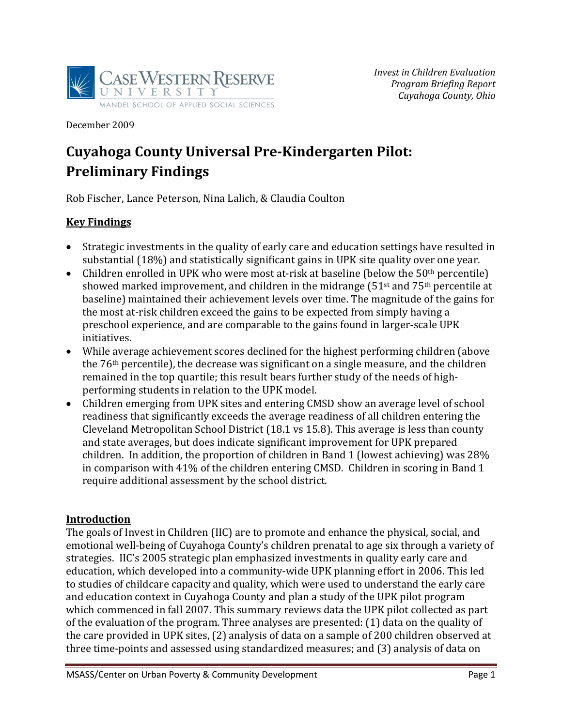

December 2009

# **Cuyahoga County Universal PreKindergarten Pilot: Preliminary Findings**

Rob Fischer, Lance Peterson, Nina Lalich, & Claudia Coulton

#### **Key Findings**

- Strategic investments in the quality of early care and education settings have resulted in substantial (18%) and statistically significant gains in UPK site quality over one year.
- Children enrolled in UPK who were most at-risk at baseline (below the  $50<sup>th</sup>$  percentile) showed marked improvement, and children in the midrange  $(51<sup>st</sup>$  and  $75<sup>th</sup>$  percentile at baseline) maintained their achievement levels over time. The magnitude of the gains for the most at‐risk children exceed the gains to be expected from simply having a preschool experience, and are comparable to the gains found in larger‐scale UPK initiatives.
- While average achievement scores declined for the highest performing children (above the 76th percentile), the decrease was significant on a single measure, and the children remained in the top quartile; this result bears further study of the needs of high‐ performing students in relation to the UPK model.
- Children emerging from UPK sites and entering CMSD show an average level of school readiness that significantly exceeds the average readiness of all children entering the Cleveland Metropolitan School District (18.1 vs 15.8). This average is less than county and state averages, but does indicate significant improvement for UPK prepared children. In addition, the proportion of children in Band 1 (lowest achieving) was 28% in comparison with 41% of the children entering CMSD. Children in scoring in Band 1 require additional assessment by the school district.

#### **Introduction**

The goals of Invest in Children (IIC) are to promote and enhance the physical, social, and emotional well‐being of Cuyahoga County's children prenatal to age six through a variety of strategies. IIC's 2005 strategic plan emphasized investments in quality early care and education, which developed into a community‐wide UPK planning effort in 2006. This led to studies of childcare capacity and quality, which were used to understand the early care and education context in Cuyahoga County and plan a study of the UPK pilot program which commenced in fall 2007. This summary reviews data the UPK pilot collected as part of the evaluation of the program. Three analyses are presented: (1) data on the quality of the care provided in UPK sites, (2) analysis of data on a sample of 200 children observed at three time‐points and assessed using standardized measures; and (3) analysis of data on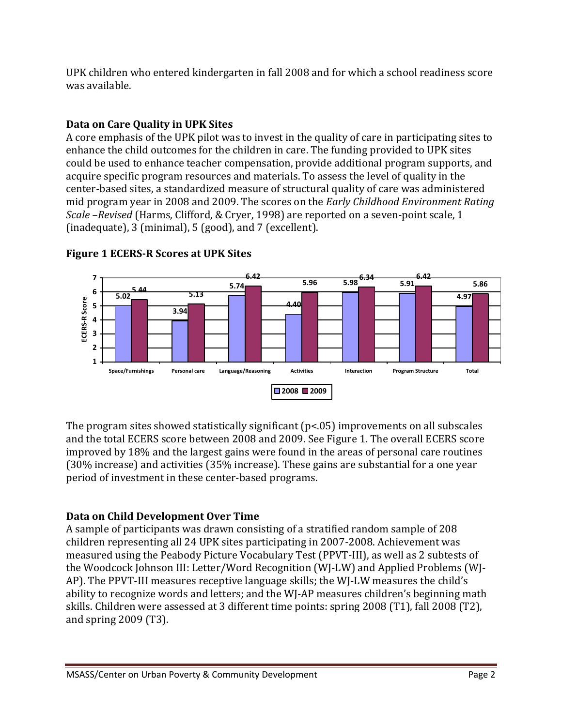UPK children who entered kindergarten in fall 2008 and for which a school readiness score was available.

### **Data on Care Quality in UPK Sites**

A core emphasis of the UPK pilot was to invest in the quality of care in participating sites to enhance the child outcomes for the children in care. The funding provided to UPK sites could be used to enhance teacher compensation, provide additional program supports, and acquire specific program resources and materials. To assess the level of quality in the center‐based sites, a standardized measure of structural quality of care was administered mid program year in 2008 and 2009. The scores on the *Early Childhood Environment Rating Scale –Revised* (Harms, Clifford, & Cryer, 1998) are reported on a seven‐point scale, 1 (inadequate), 3 (minimal), 5 (good), and 7 (excellent).



#### **Figure 1 ECERSR Scores at UPK Sites**

The program sites showed statistically significant  $(p<0.05)$  improvements on all subscales and the total ECERS score between 2008 and 2009. See Figure 1. The overall ECERS score improved by 18% and the largest gains were found in the areas of personal care routines (30% increase) and activities (35% increase). These gains are substantial for a one year period of investment in these center‐based programs.

## **Data on Child Development Over Time**

A sample of participants was drawn consisting of a stratified random sample of 208 children representing all 24 UPK sites participating in 2007‐2008. Achievement was measured using the Peabody Picture Vocabulary Test (PPVT‐III), as well as 2 subtests of the Woodcock Johnson III: Letter/Word Recognition (WJ‐LW) and Applied Problems (WJ‐ AP). The PPVT‐III measures receptive language skills; the WJ‐LW measures the child's ability to recognize words and letters; and the WJ‐AP measures children's beginning math skills. Children were assessed at 3 different time points: spring 2008 (T1), fall 2008 (T2), and spring 2009 (T3).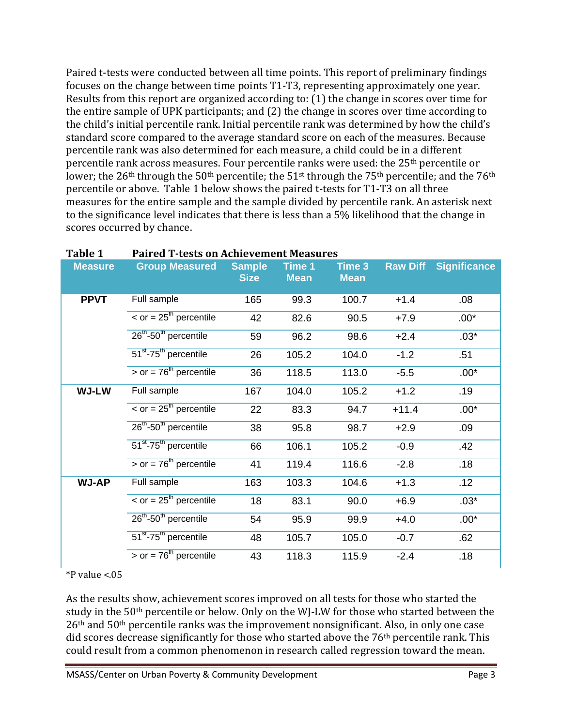Paired t-tests were conducted between all time points. This report of preliminary findings focuses on the change between time points T1‐T3, representing approximately one year. Results from this report are organized according to: (1) the change in scores over time for the entire sample of UPK participants; and (2) the change in scores over time according to the child's initial percentile rank. Initial percentile rank was determined by how the child's standard score compared to the average standard score on each of the measures. Because percentile rank was also determined for each measure, a child could be in a different percentile rank across measures. Four percentile ranks were used: the 25th percentile or lower; the  $26<sup>th</sup>$  through the  $50<sup>th</sup>$  percentile; the  $51<sup>st</sup>$  through the  $75<sup>th</sup>$  percentile; and the  $76<sup>th</sup>$ percentile or above. Table 1 below shows the paired t‐tests for T1‐T3 on all three measures for the entire sample and the sample divided by percentile rank. An asterisk next to the significance level indicates that there is less than a 5% likelihood that the change in scores occurred by chance.

| Table T        | Paired 1-tests on Achievement Measures        |                              |                              |                       |                 |                     |
|----------------|-----------------------------------------------|------------------------------|------------------------------|-----------------------|-----------------|---------------------|
| <b>Measure</b> | <b>Group Measured</b>                         | <b>Sample</b><br><b>Size</b> | <b>Time 1</b><br><b>Mean</b> | Time 3<br><b>Mean</b> | <b>Raw Diff</b> | <b>Significance</b> |
| <b>PPVT</b>    | Full sample                                   | 165                          | 99.3                         | 100.7                 | $+1.4$          | .08                 |
|                | $\epsilon$ or = 25 <sup>th</sup> percentile   | 42                           | 82.6                         | 90.5                  | $+7.9$          | $.00*$              |
|                | 26 <sup>th</sup> -50 <sup>th</sup> percentile | 59                           | 96.2                         | 98.6                  | $+2.4$          | $.03*$              |
|                | 51 <sup>st</sup> -75 <sup>th</sup> percentile | 26                           | 105.2                        | 104.0                 | $-1.2$          | .51                 |
|                | $>$ or = 76 <sup>th</sup> percentile          | 36                           | 118.5                        | 113.0                 | $-5.5$          | $.00*$              |
| <b>WJ-LW</b>   | Full sample                                   | 167                          | 104.0                        | 105.2                 | $+1.2$          | .19                 |
|                | $\epsilon$ or = 25 <sup>th</sup> percentile   | 22                           | 83.3                         | 94.7                  | $+11.4$         | $.00*$              |
|                | 26 <sup>th</sup> -50 <sup>th</sup> percentile | 38                           | 95.8                         | 98.7                  | $+2.9$          | .09                 |
|                | 51 <sup>st</sup> -75 <sup>th</sup> percentile | 66                           | 106.1                        | 105.2                 | $-0.9$          | .42                 |
|                | $>$ or = 76 <sup>th</sup> percentile          | 41                           | 119.4                        | 116.6                 | $-2.8$          | .18                 |
| <b>WJ-AP</b>   | Full sample                                   | 163                          | 103.3                        | 104.6                 | $+1.3$          | .12                 |
|                | $\epsilon$ or = 25 <sup>th</sup> percentile   | 18                           | 83.1                         | 90.0                  | $+6.9$          | $.03*$              |
|                | 26 <sup>th</sup> -50 <sup>th</sup> percentile | 54                           | 95.9                         | 99.9                  | $+4.0$          | $.00*$              |
|                | 51 <sup>st</sup> -75 <sup>th</sup> percentile | 48                           | 105.7                        | 105.0                 | $-0.7$          | .62                 |
|                | $>$ or = 76 <sup>th</sup> percentile          | 43                           | 118.3                        | 115.9                 | $-2.4$          | .18                 |

# **Table 1 Paired Ttests on Achievement Measures**

 $*P$  value <.05

As the results show, achievement scores improved on all tests for those who started the study in the 50<sup>th</sup> percentile or below. Only on the WJ-LW for those who started between the 26th and 50th percentile ranks was the improvement nonsignificant. Also, in only one case did scores decrease significantly for those who started above the 76th percentile rank. This could result from a common phenomenon in research called regression toward the mean.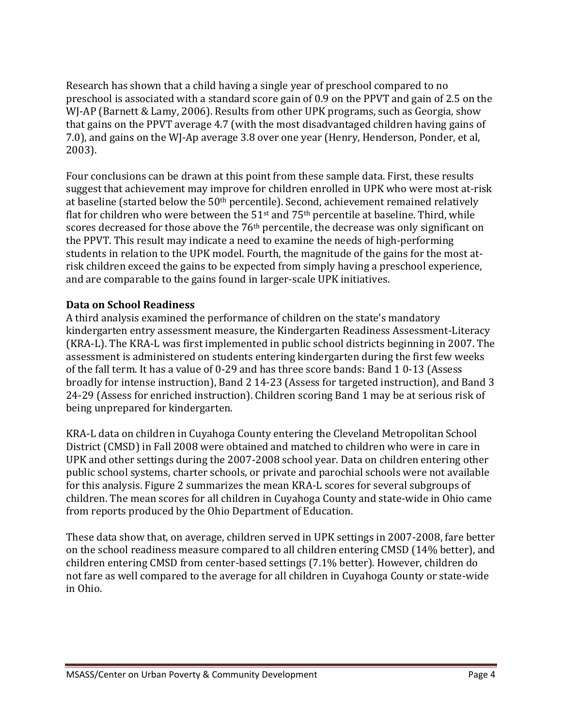Research has shown that a child having a single year of preschool compared to no preschool is associated with a standard score gain of 0.9 on the PPVT and gain of 2.5 on the WJ-AP (Barnett & Lamy, 2006). Results from other UPK programs, such as Georgia, show that gains on the PPVT average 4.7 (with the most disadvantaged children having gains of 7.0), and gains on the WJ‐Ap average 3.8 over one year (Henry, Henderson, Ponder, et al, 2003).

Four conclusions can be drawn at this point from these sample data. First, these results suggest that achievement may improve for children enrolled in UPK who were most at‐risk at baseline (started below the 50th percentile). Second, achievement remained relatively flat for children who were between the  $51<sup>st</sup>$  and  $75<sup>th</sup>$  percentile at baseline. Third, while scores decreased for those above the 76<sup>th</sup> percentile, the decrease was only significant on the PPVT. This result may indicate a need to examine the needs of high‐performing students in relation to the UPK model. Fourth, the magnitude of the gains for the most at‐ risk children exceed the gains to be expected from simply having a preschool experience, and are comparable to the gains found in larger‐scale UPK initiatives.

#### **Data on School Readiness**

A third analysis examined the performance of children on the state's mandatory kindergarten entry assessment measure, the Kindergarten Readiness Assessment‐Literacy (KRA‐L). The KRA‐L was first implemented in public school districts beginning in 2007. The assessment is administered on students entering kindergarten during the first few weeks of the fall term. It has a value of 0‐29 and has three score bands: Band 1 0‐13 (Assess broadly for intense instruction), Band 2 14‐23 (Assess for targeted instruction), and Band 3 24‐29 (Assess for enriched instruction). Children scoring Band 1 may be at serious risk of being unprepared for kindergarten.

KRA‐L data on children in Cuyahoga County entering the Cleveland Metropolitan School District (CMSD) in Fall 2008 were obtained and matched to children who were in care in UPK and other settings during the 2007‐2008 school year. Data on children entering other public school systems, charter schools, or private and parochial schools were not available for this analysis. Figure 2 summarizes the mean KRA‐L scores for several subgroups of children. The mean scores for all children in Cuyahoga County and state‐wide in Ohio came from reports produced by the Ohio Department of Education.

These data show that, on average, children served in UPK settings in 2007‐2008, fare better on the school readiness measure compared to all children entering CMSD (14% better), and children entering CMSD from center‐based settings (7.1% better). However, children do not fare as well compared to the average for all children in Cuyahoga County or state‐wide in Ohio.